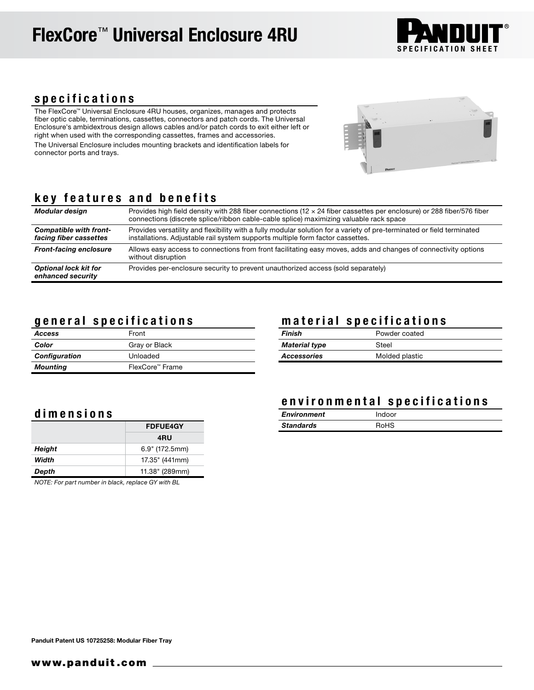

#### specifications

The FlexCore™ Universal Enclosure 4RU houses, organizes, manages and protects fiber optic cable, terminations, cassettes, connectors and patch cords. The Universal Enclosure's ambidextrous design allows cables and/or patch cords to exit either left or right when used with the corresponding cassettes, frames and accessories. The Universal Enclosure includes mounting brackets and identification labels for connector ports and trays.



### key features and benefits

| Modular design                                    | Provides high field density with 288 fiber connections ( $12 \times 24$ fiber cassettes per enclosure) or 288 fiber/576 fiber<br>connections (discrete splice/ribbon cable-cable splice) maximizing valuable rack space |
|---------------------------------------------------|-------------------------------------------------------------------------------------------------------------------------------------------------------------------------------------------------------------------------|
| Compatible with front-<br>facing fiber cassettes  | Provides versatility and flexibility with a fully modular solution for a variety of pre-terminated or field terminated<br>installations. Adjustable rail system supports multiple form factor cassettes.                |
| <b>Front-facing enclosure</b>                     | Allows easy access to connections from front facilitating easy moves, adds and changes of connectivity options<br>without disruption                                                                                    |
| <b>Optional lock kit for</b><br>enhanced security | Provides per-enclosure security to prevent unauthorized access (sold separately)                                                                                                                                        |

#### general specifications

| Access               | Front           |
|----------------------|-----------------|
| Color                | Gray or Black   |
| <b>Configuration</b> | Unloaded        |
| <b>Mounting</b>      | FlexCore™ Frame |

#### material specifications

| Finish               | Powder coated  |
|----------------------|----------------|
| <b>Material type</b> | Steel          |
| <b>Accessories</b>   | Molded plastic |

#### dimensions

|        | <b>FDFUE4GY</b>  |  |
|--------|------------------|--|
|        | 4RU              |  |
| Height | $6.9"$ (172.5mm) |  |
| Width  | 17.35" (441mm)   |  |
| Depth  | 11.38" (289mm)   |  |

*NOTE: For part number in black, replace GY with BL*

#### environmental specifications

| <b>Environment</b> | Indoor |  |
|--------------------|--------|--|
| Standards          | RoHS   |  |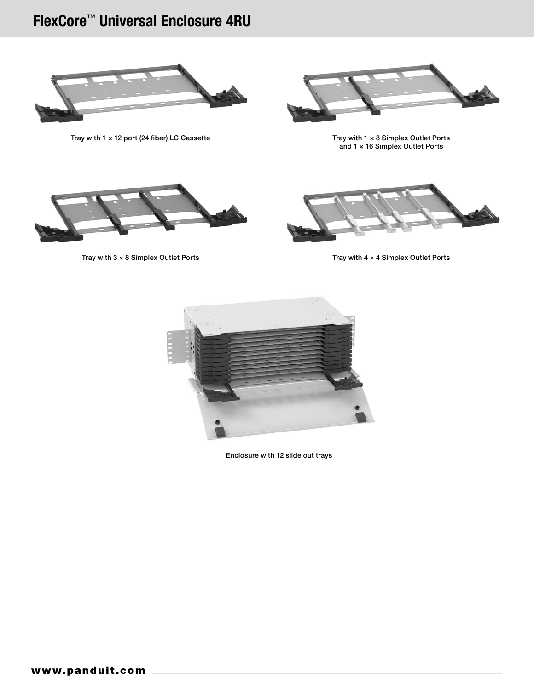# FlexCore™ Universal Enclosure 4RU



Tray with 1  $\times$  12 port (24 fiber) LC Cassette



Tray with  $1 \times 8$  Simplex Outlet Ports<br>and  $1 \times 16$  Simplex Outlet Ports





Tray with 3 x 8 Simplex Outlet Ports Tray with 4 x 4 Simplex Outlet Ports



Enclosure with 12 slide out trays